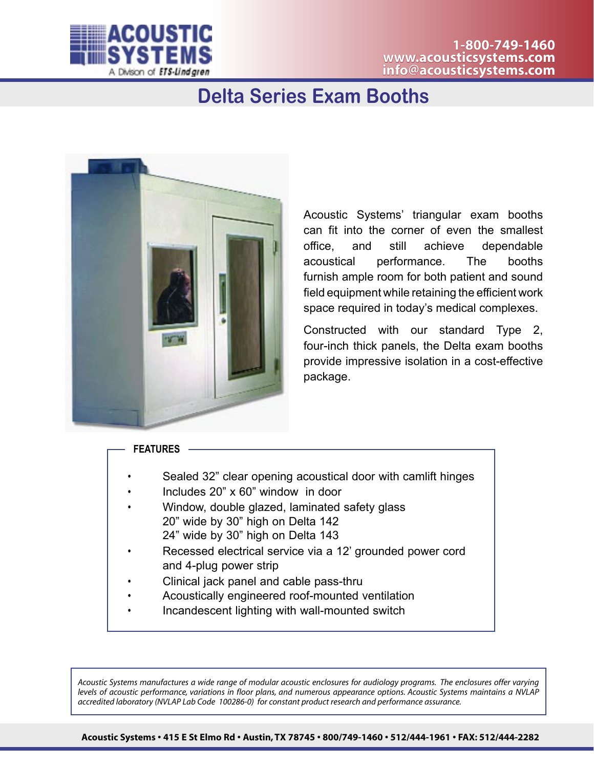

## **Delta Series Exam Booths**



Acoustic Systems' triangular exam booths can fit into the corner of even the smallest office, and still achieve dependable acoustical performance. The booths furnish ample room for both patient and sound field equipment while retaining the efficient work space required in today's medical complexes.

Constructed with our standard Type 2, four-inch thick panels, the Delta exam booths provide impressive isolation in a cost-effective package.

## **FEATURES**

- Sealed 32" clear opening acoustical door with camlift hinges
- Includes 20" x 60" window in door
- Window, double glazed, laminated safety glass 20" wide by 30" high on Delta 142 24" wide by 30" high on Delta 143
- Recessed electrical service via a 12' grounded power cord and 4-plug power strip
- Clinical jack panel and cable pass-thru
- Acoustically engineered roof-mounted ventilation
- Incandescent lighting with wall-mounted switch

*Acoustic Systems manufactures a wide range of modular acoustic enclosures for audiology programs. The enclosures offer varying levels of acoustic performance, variations in floor plans, and numerous appearance options. Acoustic Systems maintains a NVLAP accredited laboratory (NVLAP Lab Code 100286-0) for constant product research and performance assurance.*